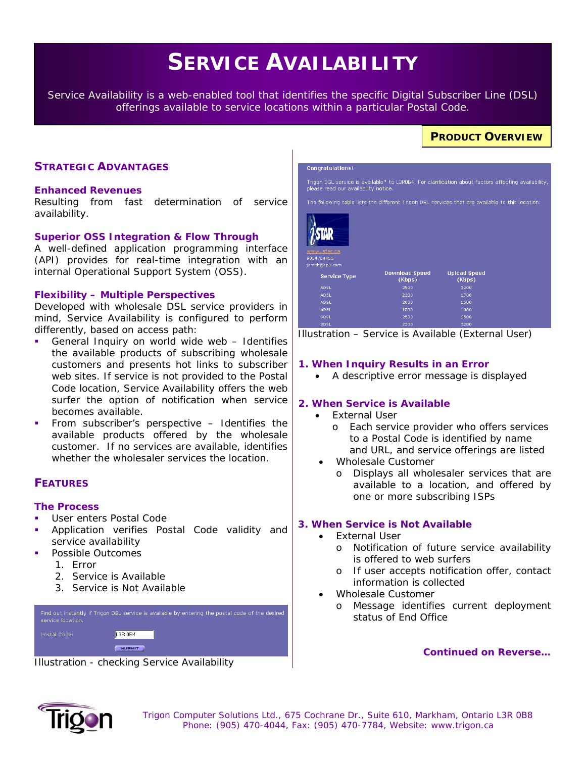# **SERVICE AVAILABILITY**

*Service Availability is a web-enabled tool that identifies the specific Digital Subscriber Line (DSL) offerings available to service locations within a particular Postal Code.* 

# **PRODUCT OVERVIEW**

## **STRATEGIC ADVANTAGES**

#### **Enhanced Revenues**

Resulting from fast determination of service availability.

#### **Superior OSS Integration & Flow Through**

A well-defined application programming interface (API) provides for real-time integration with an internal Operational Support System (OSS).

#### **Flexibility – Multiple Perspectives**

Developed with wholesale DSL service providers in mind, Service Availability is configured to perform differently, based on access path:

- General Inquiry on world wide web Identifies the available products of subscribing wholesale customers and presents hot links to subscriber web sites. If service is not provided to the Postal Code location, Service Availability offers the web surfer the option of notification when service becomes available.
- From subscriber's perspective Identifies the available products offered by the wholesale customer. If no services are available, identifies whether the wholesaler services the location.

## **FEATURES**

#### **The Process**

- User enters Postal Code
- Application verifies Postal Code validity and service availability
- Possible Outcomes
	- 1. Error
	- 2. Service is Available
	- 3. Service is Not Available



*Illustration - checking Service Availability* 



*Illustration – Service is Available (External User)* 

#### **1. When Inquiry Results in an Error**

• A descriptive error message is displayed

#### **2. When Service is Available**

- **External User** 
	- o Each service provider who offers services to a Postal Code is identified by name and URL, and service offerings are listed
- Wholesale Customer
	- o Displays all wholesaler services that are available to a location, and offered by one or more subscribing ISPs

#### **3. When Service is Not Available**

- **External User** 
	- o Notification of future service availability is offered to web surfers
	- o If user accepts notification offer, contact information is collected
- Wholesale Customer
	- o Message identifies current deployment status of End Office

*Continued on Reverse…* 



 *Trigon Computer Solutions Ltd., 675 Cochrane Dr., Suite 610, Markham, Ontario L3R 0B8 Phone: (905) 470-4044, Fax: (905) 470-7784, Website: www.trigon.ca*